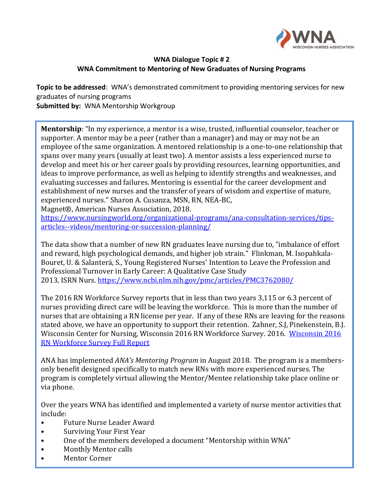

## **WNA Dialogue Topic # 2 WNA Commitment to Mentoring of New Graduates of Nursing Programs**

**Topic to be addressed**: WNA's demonstrated commitment to providing mentoring services for new graduates of nursing programs **Submitted by:** WNA Mentorship Workgroup

**Mentorship**: "In my experience, a mentor is a wise, trusted, influential counselor, teacher or supporter. A mentor may be a peer (rather than a manager) and may or may not be an employee of the same organization. A mentored relationship is a one-to-one relationship that spans over many years (usually at least two). A mentor assists a less experienced nurse to develop and meet his or her career goals by providing resources, learning opportunities, and ideas to improve performance, as well as helping to identify strengths and weaknesses, and evaluating successes and failures. Mentoring is essential for the career development and establishment of new nurses and the transfer of years of wisdom and expertise of mature, experienced nurses." Sharon A. Cusanza, MSN, RN, NEA-BC,

Magnet®, American Nurses Association, 2018.

[https://www.nursingworld.org/organizational-programs/ana-consultation-services/tips](https://www.nursingworld.org/organizational-programs/ana-consultation-services/tips-articles--videos/mentoring-or-succession-planning/)[articles--videos/mentoring-or-succession-planning/](https://www.nursingworld.org/organizational-programs/ana-consultation-services/tips-articles--videos/mentoring-or-succession-planning/)

The data show that a number of new RN graduates leave nursing due to, "imbalance of effort and reward, high psychological demands, and higher job strain." Flinkman, M. Isopahkala-Bouret, U. & Salanterä, S., Young Registered Nurses' Intention to Leave the Profession and Professional Turnover in Early Career: A Qualitative Case Study 2013, ISRN Nurs. <https://www.ncbi.nlm.nih.gov/pmc/articles/PMC3762080/>

The 2016 RN Workforce Survey reports that in less than two years 3,115 or 6.3 percent of nurses providing direct care will be leaving the workforce. This is more than the number of nurses that are obtaining a RN license per year. If any of these RNs are leaving for the reasons stated above, we have an opportunity to support their retention. Zahner, S.J, Pinekenstein, B.J. Wisconsin Center for Nursing, Wisconsin 2016 RN Workforce Survey. 2016. [Wisconsin 2016](https://drive.google.com/open?id=1igNiG24ZRBfiCw5lYPRSuK9ljqZnED6v)  [RN Workforce Survey Full Report](https://drive.google.com/open?id=1igNiG24ZRBfiCw5lYPRSuK9ljqZnED6v)

ANA has implemented *ANA's Mentoring Program* in August 2018. The program is a membersonly benefit designed specifically to match new RNs with more experienced nurses. The program is completely virtual allowing the Mentor/Mentee relationship take place online or via phone.

Over the years WNA has identified and implemented a variety of nurse mentor activities that include:

- Future Nurse Leader Award
- Surviving Your First Year
- One of the members developed a document "Mentorship within WNA"
- Monthly Mentor calls
- Mentor Corner